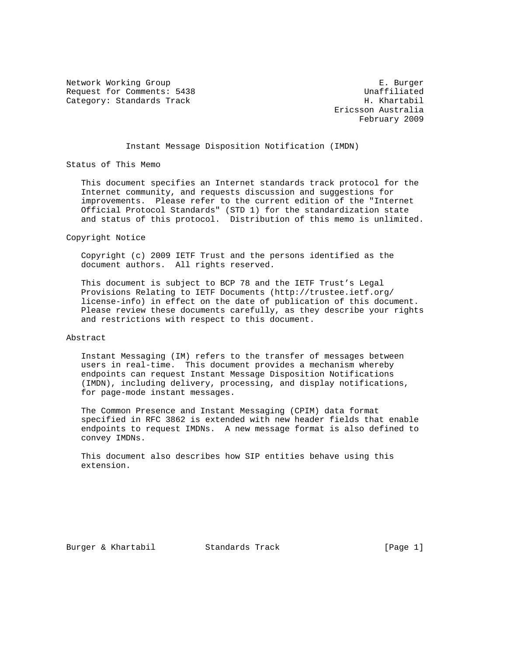Network Working Group **E. Burger** Request for Comments: 5438 Unaffiliated Category: Standards Track H. Khartabil

 Ericsson Australia February 2009

# Instant Message Disposition Notification (IMDN)

Status of This Memo

 This document specifies an Internet standards track protocol for the Internet community, and requests discussion and suggestions for improvements. Please refer to the current edition of the "Internet Official Protocol Standards" (STD 1) for the standardization state and status of this protocol. Distribution of this memo is unlimited.

Copyright Notice

 Copyright (c) 2009 IETF Trust and the persons identified as the document authors. All rights reserved.

 This document is subject to BCP 78 and the IETF Trust's Legal Provisions Relating to IETF Documents (http://trustee.ietf.org/ license-info) in effect on the date of publication of this document. Please review these documents carefully, as they describe your rights and restrictions with respect to this document.

# Abstract

 Instant Messaging (IM) refers to the transfer of messages between users in real-time. This document provides a mechanism whereby endpoints can request Instant Message Disposition Notifications (IMDN), including delivery, processing, and display notifications, for page-mode instant messages.

 The Common Presence and Instant Messaging (CPIM) data format specified in RFC 3862 is extended with new header fields that enable endpoints to request IMDNs. A new message format is also defined to convey IMDNs.

 This document also describes how SIP entities behave using this extension.

Burger & Khartabil Standards Track [Page 1]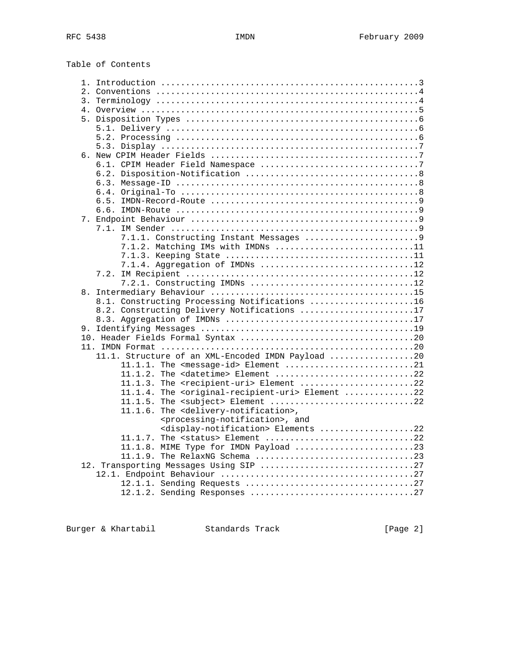Table of Contents

| 1.                                                                       |  |
|--------------------------------------------------------------------------|--|
|                                                                          |  |
| 3.                                                                       |  |
|                                                                          |  |
|                                                                          |  |
|                                                                          |  |
|                                                                          |  |
|                                                                          |  |
|                                                                          |  |
|                                                                          |  |
|                                                                          |  |
|                                                                          |  |
|                                                                          |  |
|                                                                          |  |
|                                                                          |  |
|                                                                          |  |
|                                                                          |  |
|                                                                          |  |
|                                                                          |  |
|                                                                          |  |
|                                                                          |  |
| 7.1.2. Matching IMs with IMDNs 11                                        |  |
|                                                                          |  |
|                                                                          |  |
| 7.1.4. Aggregation of IMDNs 12                                           |  |
|                                                                          |  |
|                                                                          |  |
|                                                                          |  |
| 8.1. Constructing Processing Notifications 16                            |  |
|                                                                          |  |
| 8.2. Constructing Delivery Notifications 17                              |  |
|                                                                          |  |
|                                                                          |  |
|                                                                          |  |
|                                                                          |  |
| 11.1. Structure of an XML-Encoded IMDN Payload 20                        |  |
|                                                                          |  |
| 11.1.1. The <message-id> Element 21</message-id>                         |  |
| 11.1.2. The <datetime> Element 22</datetime>                             |  |
| 11.1.3. The <recipient-uri> Element 22</recipient-uri>                   |  |
| 11.1.4. The <original-recipient-uri> Element 22</original-recipient-uri> |  |
|                                                                          |  |
| 11.1.6.<br>The <delivery-notification>,</delivery-notification>          |  |
|                                                                          |  |
| <processing-notification>, and</processing-notification>                 |  |
| <display-notification> Elements 22</display-notification>                |  |
| 11.1.7. The <status> Element 22</status>                                 |  |
|                                                                          |  |
|                                                                          |  |
|                                                                          |  |
|                                                                          |  |
|                                                                          |  |
|                                                                          |  |
|                                                                          |  |
|                                                                          |  |

Burger & Khartabil Standards Track [Page 2]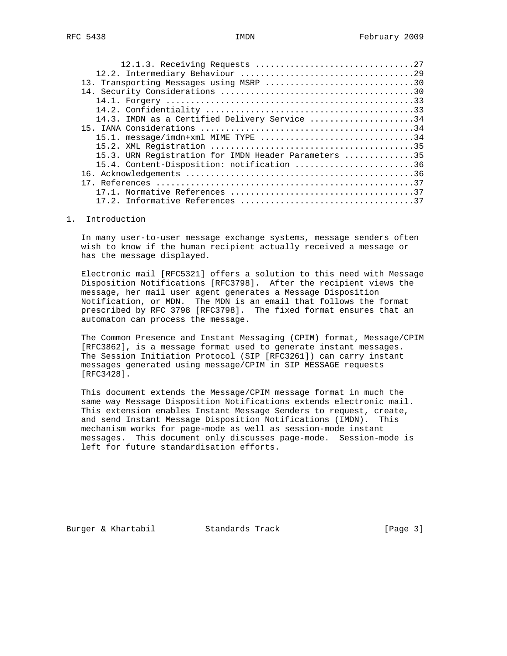| 13. Transporting Messages using MSRP 30              |  |
|------------------------------------------------------|--|
|                                                      |  |
|                                                      |  |
|                                                      |  |
| 14.3. IMDN as a Certified Delivery Service 34        |  |
|                                                      |  |
| 15.1. message/imdn+xml MIME TYPE 34                  |  |
|                                                      |  |
| 15.3. URN Registration for IMDN Header Parameters 35 |  |
| 15.4. Content-Disposition: notification 36           |  |
|                                                      |  |
|                                                      |  |
|                                                      |  |
|                                                      |  |
|                                                      |  |

1. Introduction

 In many user-to-user message exchange systems, message senders often wish to know if the human recipient actually received a message or has the message displayed.

 Electronic mail [RFC5321] offers a solution to this need with Message Disposition Notifications [RFC3798]. After the recipient views the message, her mail user agent generates a Message Disposition Notification, or MDN. The MDN is an email that follows the format prescribed by RFC 3798 [RFC3798]. The fixed format ensures that an automaton can process the message.

 The Common Presence and Instant Messaging (CPIM) format, Message/CPIM [RFC3862], is a message format used to generate instant messages. The Session Initiation Protocol (SIP [RFC3261]) can carry instant messages generated using message/CPIM in SIP MESSAGE requests [RFC3428].

 This document extends the Message/CPIM message format in much the same way Message Disposition Notifications extends electronic mail. This extension enables Instant Message Senders to request, create, and send Instant Message Disposition Notifications (IMDN). This mechanism works for page-mode as well as session-mode instant messages. This document only discusses page-mode. Session-mode is left for future standardisation efforts.

Burger & Khartabil Standards Track [Page 3]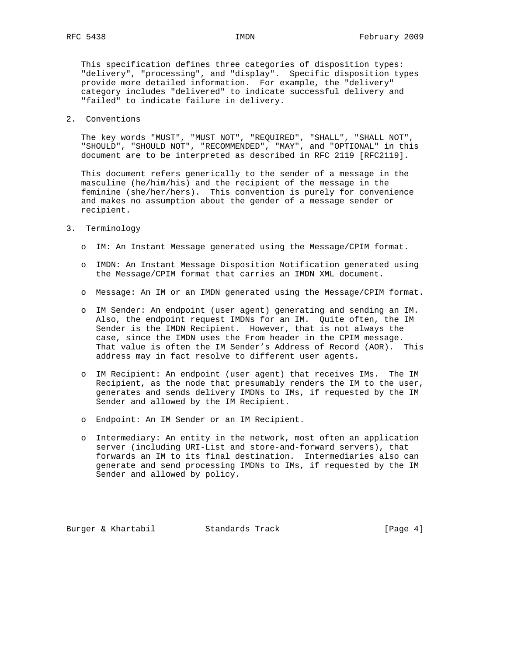This specification defines three categories of disposition types: "delivery", "processing", and "display". Specific disposition types provide more detailed information. For example, the "delivery" category includes "delivered" to indicate successful delivery and "failed" to indicate failure in delivery.

#### 2. Conventions

 The key words "MUST", "MUST NOT", "REQUIRED", "SHALL", "SHALL NOT", "SHOULD", "SHOULD NOT", "RECOMMENDED", "MAY", and "OPTIONAL" in this document are to be interpreted as described in RFC 2119 [RFC2119].

 This document refers generically to the sender of a message in the masculine (he/him/his) and the recipient of the message in the feminine (she/her/hers). This convention is purely for convenience and makes no assumption about the gender of a message sender or recipient.

#### 3. Terminology

- o IM: An Instant Message generated using the Message/CPIM format.
- o IMDN: An Instant Message Disposition Notification generated using the Message/CPIM format that carries an IMDN XML document.
- o Message: An IM or an IMDN generated using the Message/CPIM format.
- o IM Sender: An endpoint (user agent) generating and sending an IM. Also, the endpoint request IMDNs for an IM. Quite often, the IM Sender is the IMDN Recipient. However, that is not always the case, since the IMDN uses the From header in the CPIM message. That value is often the IM Sender's Address of Record (AOR). This address may in fact resolve to different user agents.
- o IM Recipient: An endpoint (user agent) that receives IMs. The IM Recipient, as the node that presumably renders the IM to the user, generates and sends delivery IMDNs to IMs, if requested by the IM Sender and allowed by the IM Recipient.
- o Endpoint: An IM Sender or an IM Recipient.
- o Intermediary: An entity in the network, most often an application server (including URI-List and store-and-forward servers), that forwards an IM to its final destination. Intermediaries also can generate and send processing IMDNs to IMs, if requested by the IM Sender and allowed by policy.

Burger & Khartabil Standards Track [Page 4]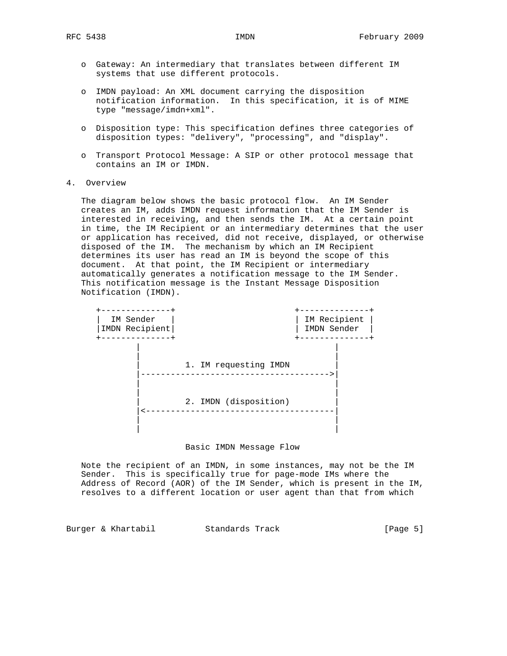- o Gateway: An intermediary that translates between different IM systems that use different protocols.
- o IMDN payload: An XML document carrying the disposition notification information. In this specification, it is of MIME type "message/imdn+xml".
- o Disposition type: This specification defines three categories of disposition types: "delivery", "processing", and "display".
- o Transport Protocol Message: A SIP or other protocol message that contains an IM or IMDN.
- 4. Overview

 The diagram below shows the basic protocol flow. An IM Sender creates an IM, adds IMDN request information that the IM Sender is interested in receiving, and then sends the IM. At a certain point in time, the IM Recipient or an intermediary determines that the user or application has received, did not receive, displayed, or otherwise disposed of the IM. The mechanism by which an IM Recipient determines its user has read an IM is beyond the scope of this document. At that point, the IM Recipient or intermediary automatically generates a notification message to the IM Sender. This notification message is the Instant Message Disposition Notification (IMDN).



#### Basic IMDN Message Flow

 Note the recipient of an IMDN, in some instances, may not be the IM Sender. This is specifically true for page-mode IMs where the Address of Record (AOR) of the IM Sender, which is present in the IM, resolves to a different location or user agent than that from which

Burger & Khartabil Standards Track [Page 5]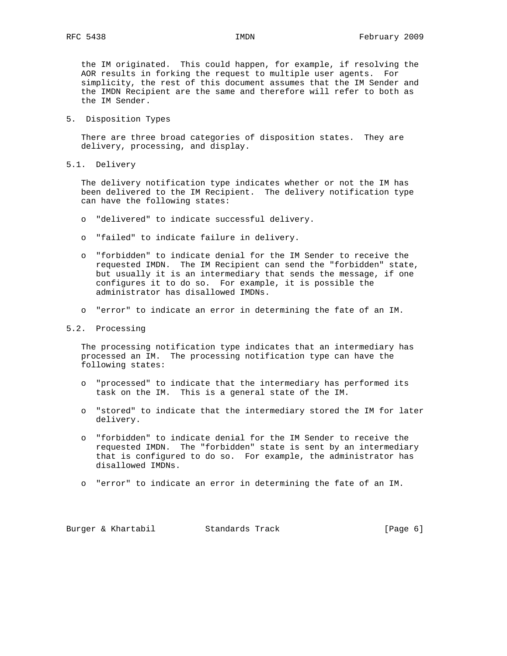the IM originated. This could happen, for example, if resolving the AOR results in forking the request to multiple user agents. For simplicity, the rest of this document assumes that the IM Sender and the IMDN Recipient are the same and therefore will refer to both as the IM Sender.

5. Disposition Types

 There are three broad categories of disposition states. They are delivery, processing, and display.

5.1. Delivery

 The delivery notification type indicates whether or not the IM has been delivered to the IM Recipient. The delivery notification type can have the following states:

- o "delivered" to indicate successful delivery.
- o "failed" to indicate failure in delivery.
- o "forbidden" to indicate denial for the IM Sender to receive the requested IMDN. The IM Recipient can send the "forbidden" state, but usually it is an intermediary that sends the message, if one configures it to do so. For example, it is possible the administrator has disallowed IMDNs.
- o "error" to indicate an error in determining the fate of an IM.
- 5.2. Processing

 The processing notification type indicates that an intermediary has processed an IM. The processing notification type can have the following states:

- o "processed" to indicate that the intermediary has performed its task on the IM. This is a general state of the IM.
- o "stored" to indicate that the intermediary stored the IM for later delivery.
- o "forbidden" to indicate denial for the IM Sender to receive the requested IMDN. The "forbidden" state is sent by an intermediary that is configured to do so. For example, the administrator has disallowed IMDNs.
- o "error" to indicate an error in determining the fate of an IM.

Burger & Khartabil Standards Track [Page 6]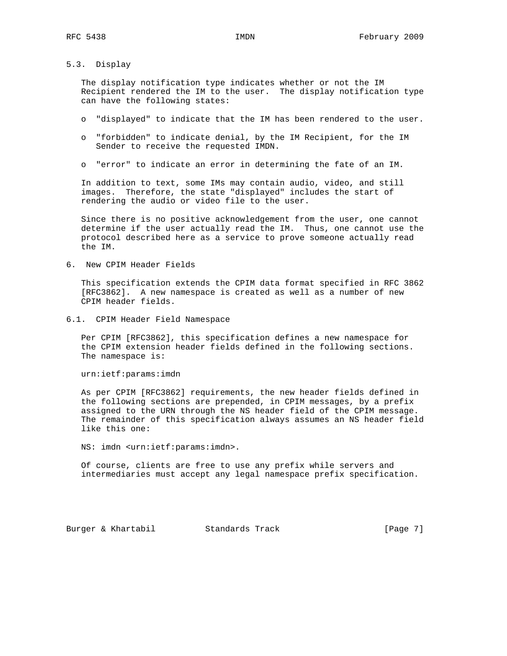5.3. Display

 The display notification type indicates whether or not the IM Recipient rendered the IM to the user. The display notification type can have the following states:

- o "displayed" to indicate that the IM has been rendered to the user.
- o "forbidden" to indicate denial, by the IM Recipient, for the IM Sender to receive the requested IMDN.
- o "error" to indicate an error in determining the fate of an IM.

 In addition to text, some IMs may contain audio, video, and still images. Therefore, the state "displayed" includes the start of rendering the audio or video file to the user.

 Since there is no positive acknowledgement from the user, one cannot determine if the user actually read the IM. Thus, one cannot use the protocol described here as a service to prove someone actually read the IM.

6. New CPIM Header Fields

 This specification extends the CPIM data format specified in RFC 3862 [RFC3862]. A new namespace is created as well as a number of new CPIM header fields.

6.1. CPIM Header Field Namespace

 Per CPIM [RFC3862], this specification defines a new namespace for the CPIM extension header fields defined in the following sections. The namespace is:

urn:ietf:params:imdn

 As per CPIM [RFC3862] requirements, the new header fields defined in the following sections are prepended, in CPIM messages, by a prefix assigned to the URN through the NS header field of the CPIM message. The remainder of this specification always assumes an NS header field like this one:

NS: imdn <urn:ietf:params:imdn>.

 Of course, clients are free to use any prefix while servers and intermediaries must accept any legal namespace prefix specification.

Burger & Khartabil Standards Track [Page 7]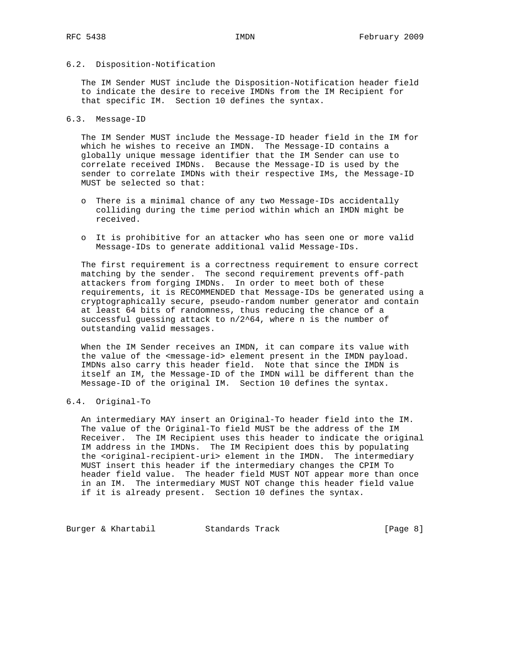## 6.2. Disposition-Notification

 The IM Sender MUST include the Disposition-Notification header field to indicate the desire to receive IMDNs from the IM Recipient for that specific IM. Section 10 defines the syntax.

#### 6.3. Message-ID

 The IM Sender MUST include the Message-ID header field in the IM for which he wishes to receive an IMDN. The Message-ID contains a globally unique message identifier that the IM Sender can use to correlate received IMDNs. Because the Message-ID is used by the sender to correlate IMDNs with their respective IMs, the Message-ID MUST be selected so that:

- o There is a minimal chance of any two Message-IDs accidentally colliding during the time period within which an IMDN might be received.
- o It is prohibitive for an attacker who has seen one or more valid Message-IDs to generate additional valid Message-IDs.

 The first requirement is a correctness requirement to ensure correct matching by the sender. The second requirement prevents off-path attackers from forging IMDNs. In order to meet both of these requirements, it is RECOMMENDED that Message-IDs be generated using a cryptographically secure, pseudo-random number generator and contain at least 64 bits of randomness, thus reducing the chance of a successful guessing attack to n/2^64, where n is the number of outstanding valid messages.

 When the IM Sender receives an IMDN, it can compare its value with the value of the <message-id> element present in the IMDN payload. IMDNs also carry this header field. Note that since the IMDN is itself an IM, the Message-ID of the IMDN will be different than the Message-ID of the original IM. Section 10 defines the syntax.

## 6.4. Original-To

 An intermediary MAY insert an Original-To header field into the IM. The value of the Original-To field MUST be the address of the IM Receiver. The IM Recipient uses this header to indicate the original IM address in the IMDNs. The IM Recipient does this by populating the <original-recipient-uri> element in the IMDN. The intermediary MUST insert this header if the intermediary changes the CPIM To header field value. The header field MUST NOT appear more than once in an IM. The intermediary MUST NOT change this header field value if it is already present. Section 10 defines the syntax.

Burger & Khartabil Standards Track [Page 8]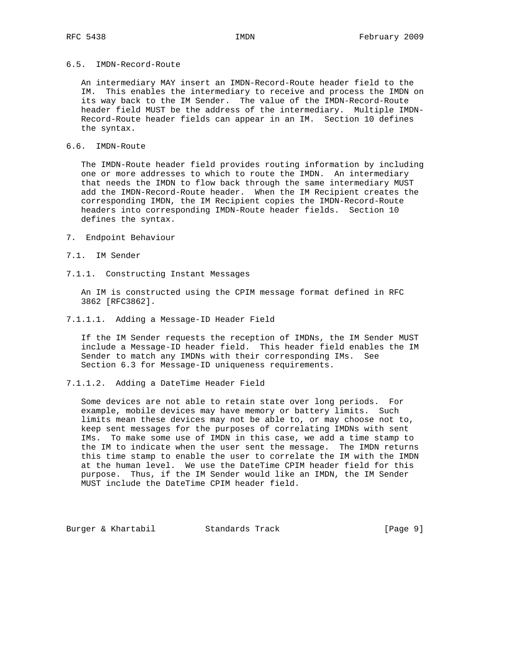# 6.5. IMDN-Record-Route

 An intermediary MAY insert an IMDN-Record-Route header field to the IM. This enables the intermediary to receive and process the IMDN on its way back to the IM Sender. The value of the IMDN-Record-Route header field MUST be the address of the intermediary. Multiple IMDN- Record-Route header fields can appear in an IM. Section 10 defines the syntax.

## 6.6. IMDN-Route

 The IMDN-Route header field provides routing information by including one or more addresses to which to route the IMDN. An intermediary that needs the IMDN to flow back through the same intermediary MUST add the IMDN-Record-Route header. When the IM Recipient creates the corresponding IMDN, the IM Recipient copies the IMDN-Record-Route headers into corresponding IMDN-Route header fields. Section 10 defines the syntax.

- 7. Endpoint Behaviour
- 7.1. IM Sender
- 7.1.1. Constructing Instant Messages

 An IM is constructed using the CPIM message format defined in RFC 3862 [RFC3862].

7.1.1.1. Adding a Message-ID Header Field

 If the IM Sender requests the reception of IMDNs, the IM Sender MUST include a Message-ID header field. This header field enables the IM Sender to match any IMDNs with their corresponding IMs. See Section 6.3 for Message-ID uniqueness requirements.

7.1.1.2. Adding a DateTime Header Field

 Some devices are not able to retain state over long periods. For example, mobile devices may have memory or battery limits. Such limits mean these devices may not be able to, or may choose not to, keep sent messages for the purposes of correlating IMDNs with sent IMs. To make some use of IMDN in this case, we add a time stamp to the IM to indicate when the user sent the message. The IMDN returns this time stamp to enable the user to correlate the IM with the IMDN at the human level. We use the DateTime CPIM header field for this purpose. Thus, if the IM Sender would like an IMDN, the IM Sender MUST include the DateTime CPIM header field.

Burger & Khartabil Standards Track [Page 9]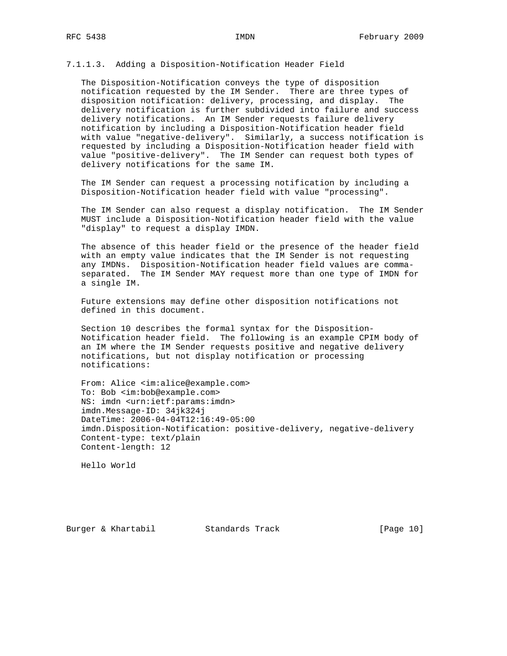## 7.1.1.3. Adding a Disposition-Notification Header Field

 The Disposition-Notification conveys the type of disposition notification requested by the IM Sender. There are three types of disposition notification: delivery, processing, and display. The delivery notification is further subdivided into failure and success delivery notifications. An IM Sender requests failure delivery notification by including a Disposition-Notification header field with value "negative-delivery". Similarly, a success notification is requested by including a Disposition-Notification header field with value "positive-delivery". The IM Sender can request both types of delivery notifications for the same IM.

 The IM Sender can request a processing notification by including a Disposition-Notification header field with value "processing".

 The IM Sender can also request a display notification. The IM Sender MUST include a Disposition-Notification header field with the value "display" to request a display IMDN.

 The absence of this header field or the presence of the header field with an empty value indicates that the IM Sender is not requesting any IMDNs. Disposition-Notification header field values are comma separated. The IM Sender MAY request more than one type of IMDN for a single IM.

 Future extensions may define other disposition notifications not defined in this document.

 Section 10 describes the formal syntax for the Disposition- Notification header field. The following is an example CPIM body of an IM where the IM Sender requests positive and negative delivery notifications, but not display notification or processing notifications:

 From: Alice <im:alice@example.com> To: Bob <im:bob@example.com> NS: imdn <urn:ietf:params:imdn> imdn.Message-ID: 34jk324j DateTime: 2006-04-04T12:16:49-05:00 imdn.Disposition-Notification: positive-delivery, negative-delivery Content-type: text/plain Content-length: 12

Hello World

Burger & Khartabil Standards Track [Page 10]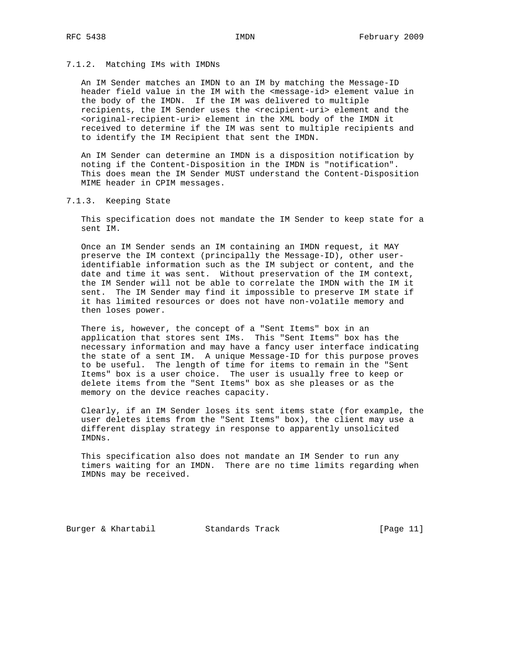#### 7.1.2. Matching IMs with IMDNs

 An IM Sender matches an IMDN to an IM by matching the Message-ID header field value in the IM with the <message-id> element value in the body of the IMDN. If the IM was delivered to multiple recipients, the IM Sender uses the <recipient-uri> element and the <original-recipient-uri> element in the XML body of the IMDN it received to determine if the IM was sent to multiple recipients and to identify the IM Recipient that sent the IMDN.

 An IM Sender can determine an IMDN is a disposition notification by noting if the Content-Disposition in the IMDN is "notification". This does mean the IM Sender MUST understand the Content-Disposition MIME header in CPIM messages.

7.1.3. Keeping State

 This specification does not mandate the IM Sender to keep state for a sent IM.

 Once an IM Sender sends an IM containing an IMDN request, it MAY preserve the IM context (principally the Message-ID), other user identifiable information such as the IM subject or content, and the date and time it was sent. Without preservation of the IM context, the IM Sender will not be able to correlate the IMDN with the IM it sent. The IM Sender may find it impossible to preserve IM state if it has limited resources or does not have non-volatile memory and then loses power.

 There is, however, the concept of a "Sent Items" box in an application that stores sent IMs. This "Sent Items" box has the necessary information and may have a fancy user interface indicating the state of a sent IM. A unique Message-ID for this purpose proves to be useful. The length of time for items to remain in the "Sent Items" box is a user choice. The user is usually free to keep or delete items from the "Sent Items" box as she pleases or as the memory on the device reaches capacity.

 Clearly, if an IM Sender loses its sent items state (for example, the user deletes items from the "Sent Items" box), the client may use a different display strategy in response to apparently unsolicited IMDNs.

 This specification also does not mandate an IM Sender to run any timers waiting for an IMDN. There are no time limits regarding when IMDNs may be received.

Burger & Khartabil Standards Track [Page 11]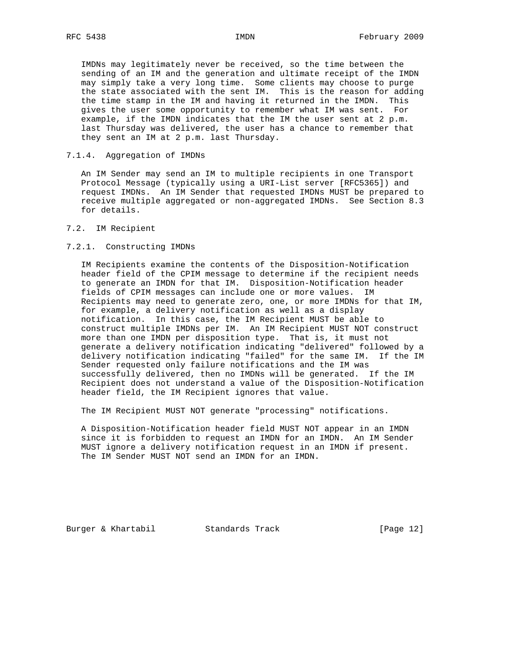IMDNs may legitimately never be received, so the time between the sending of an IM and the generation and ultimate receipt of the IMDN may simply take a very long time. Some clients may choose to purge the state associated with the sent IM. This is the reason for adding the time stamp in the IM and having it returned in the IMDN. This gives the user some opportunity to remember what IM was sent. For example, if the IMDN indicates that the IM the user sent at 2 p.m. last Thursday was delivered, the user has a chance to remember that they sent an IM at 2 p.m. last Thursday.

## 7.1.4. Aggregation of IMDNs

 An IM Sender may send an IM to multiple recipients in one Transport Protocol Message (typically using a URI-List server [RFC5365]) and request IMDNs. An IM Sender that requested IMDNs MUST be prepared to receive multiple aggregated or non-aggregated IMDNs. See Section 8.3 for details.

## 7.2. IM Recipient

#### 7.2.1. Constructing IMDNs

 IM Recipients examine the contents of the Disposition-Notification header field of the CPIM message to determine if the recipient needs to generate an IMDN for that IM. Disposition-Notification header fields of CPIM messages can include one or more values. IM Recipients may need to generate zero, one, or more IMDNs for that IM, for example, a delivery notification as well as a display notification. In this case, the IM Recipient MUST be able to construct multiple IMDNs per IM. An IM Recipient MUST NOT construct more than one IMDN per disposition type. That is, it must not generate a delivery notification indicating "delivered" followed by a delivery notification indicating "failed" for the same IM. If the IM Sender requested only failure notifications and the IM was successfully delivered, then no IMDNs will be generated. If the IM Recipient does not understand a value of the Disposition-Notification header field, the IM Recipient ignores that value.

The IM Recipient MUST NOT generate "processing" notifications.

 A Disposition-Notification header field MUST NOT appear in an IMDN since it is forbidden to request an IMDN for an IMDN. An IM Sender MUST ignore a delivery notification request in an IMDN if present. The IM Sender MUST NOT send an IMDN for an IMDN.

Burger & Khartabil **Standards Track** [Page 12]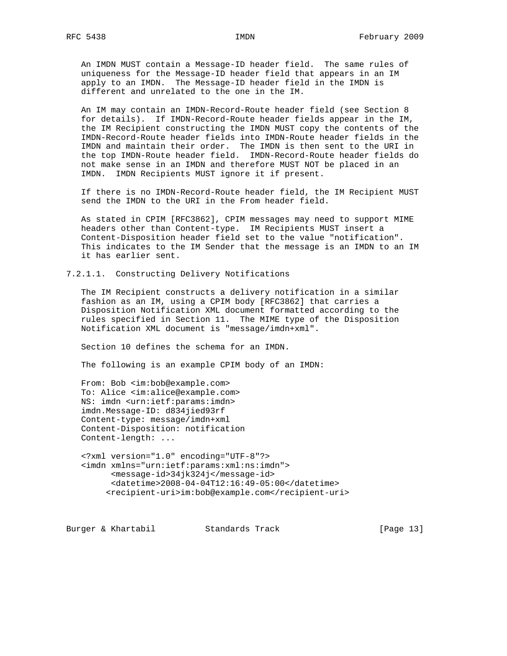An IMDN MUST contain a Message-ID header field. The same rules of uniqueness for the Message-ID header field that appears in an IM apply to an IMDN. The Message-ID header field in the IMDN is different and unrelated to the one in the IM.

 An IM may contain an IMDN-Record-Route header field (see Section 8 for details). If IMDN-Record-Route header fields appear in the IM, the IM Recipient constructing the IMDN MUST copy the contents of the IMDN-Record-Route header fields into IMDN-Route header fields in the IMDN and maintain their order. The IMDN is then sent to the URI in the top IMDN-Route header field. IMDN-Record-Route header fields do not make sense in an IMDN and therefore MUST NOT be placed in an IMDN. IMDN Recipients MUST ignore it if present.

 If there is no IMDN-Record-Route header field, the IM Recipient MUST send the IMDN to the URI in the From header field.

 As stated in CPIM [RFC3862], CPIM messages may need to support MIME headers other than Content-type. IM Recipients MUST insert a Content-Disposition header field set to the value "notification". This indicates to the IM Sender that the message is an IMDN to an IM it has earlier sent.

7.2.1.1. Constructing Delivery Notifications

 The IM Recipient constructs a delivery notification in a similar fashion as an IM, using a CPIM body [RFC3862] that carries a Disposition Notification XML document formatted according to the rules specified in Section 11. The MIME type of the Disposition Notification XML document is "message/imdn+xml".

Section 10 defines the schema for an IMDN.

The following is an example CPIM body of an IMDN:

 From: Bob <im:bob@example.com> To: Alice <im:alice@example.com> NS: imdn <urn:ietf:params:imdn> imdn.Message-ID: d834jied93rf Content-type: message/imdn+xml Content-Disposition: notification Content-length: ...

 <?xml version="1.0" encoding="UTF-8"?> <imdn xmlns="urn:ietf:params:xml:ns:imdn"> <message-id>34jk324j</message-id> <datetime>2008-04-04T12:16:49-05:00</datetime> <recipient-uri>im:bob@example.com</recipient-uri>

Burger & Khartabil Standards Track [Page 13]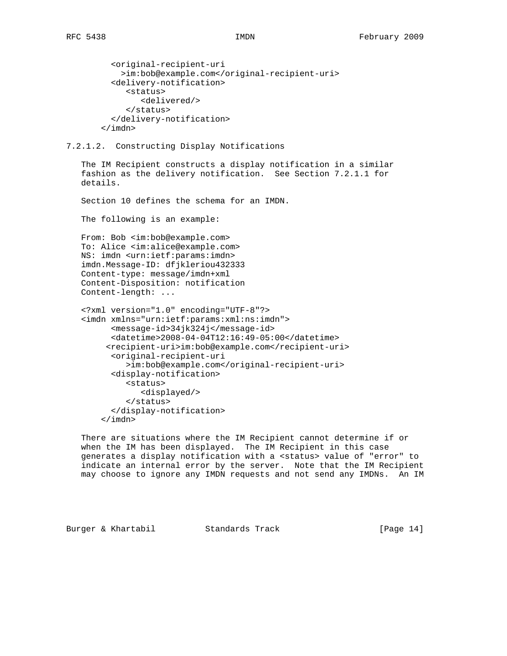```
 <original-recipient-uri
    >im:bob@example.com</original-recipient-uri>
  <delivery-notification>
     <status>
        <delivered/>
     </status>
  </delivery-notification>
</imdn>
```
# 7.2.1.2. Constructing Display Notifications

 The IM Recipient constructs a display notification in a similar fashion as the delivery notification. See Section 7.2.1.1 for details.

Section 10 defines the schema for an IMDN.

The following is an example:

 From: Bob <im:bob@example.com> To: Alice <im:alice@example.com> NS: imdn <urn:ietf:params:imdn> imdn.Message-ID: dfjkleriou432333 Content-type: message/imdn+xml Content-Disposition: notification Content-length: ...

```
 <?xml version="1.0" encoding="UTF-8"?>
<imdn xmlns="urn:ietf:params:xml:ns:imdn">
      <message-id>34jk324j</message-id>
      <datetime>2008-04-04T12:16:49-05:00</datetime>
     <recipient-uri>im:bob@example.com</recipient-uri>
      <original-recipient-uri
         >im:bob@example.com</original-recipient-uri>
      <display-notification>
         <status>
            <displayed/>
         </status>
      </display-notification>
    </imdn>
```
 There are situations where the IM Recipient cannot determine if or when the IM has been displayed. The IM Recipient in this case generates a display notification with a <status> value of "error" to indicate an internal error by the server. Note that the IM Recipient may choose to ignore any IMDN requests and not send any IMDNs. An IM

Burger & Khartabil Standards Track [Page 14]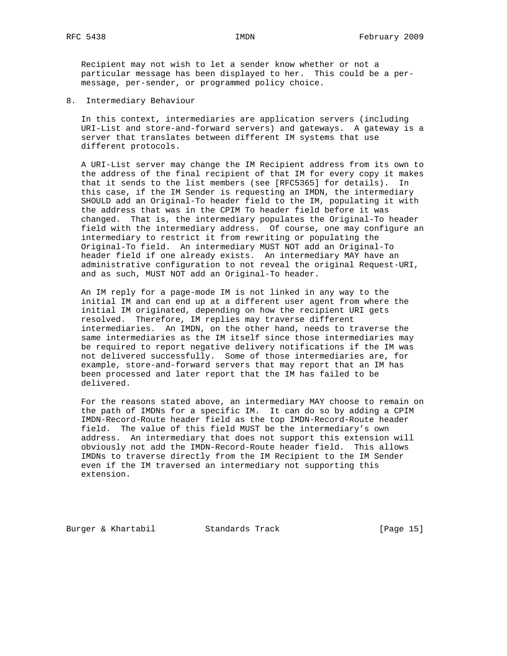Recipient may not wish to let a sender know whether or not a particular message has been displayed to her. This could be a per message, per-sender, or programmed policy choice.

8. Intermediary Behaviour

 In this context, intermediaries are application servers (including URI-List and store-and-forward servers) and gateways. A gateway is a server that translates between different IM systems that use different protocols.

 A URI-List server may change the IM Recipient address from its own to the address of the final recipient of that IM for every copy it makes that it sends to the list members (see [RFC5365] for details). In this case, if the IM Sender is requesting an IMDN, the intermediary SHOULD add an Original-To header field to the IM, populating it with the address that was in the CPIM To header field before it was changed. That is, the intermediary populates the Original-To header field with the intermediary address. Of course, one may configure an intermediary to restrict it from rewriting or populating the Original-To field. An intermediary MUST NOT add an Original-To header field if one already exists. An intermediary MAY have an administrative configuration to not reveal the original Request-URI, and as such, MUST NOT add an Original-To header.

 An IM reply for a page-mode IM is not linked in any way to the initial IM and can end up at a different user agent from where the initial IM originated, depending on how the recipient URI gets resolved. Therefore, IM replies may traverse different intermediaries. An IMDN, on the other hand, needs to traverse the same intermediaries as the IM itself since those intermediaries may be required to report negative delivery notifications if the IM was not delivered successfully. Some of those intermediaries are, for example, store-and-forward servers that may report that an IM has been processed and later report that the IM has failed to be delivered.

 For the reasons stated above, an intermediary MAY choose to remain on the path of IMDNs for a specific IM. It can do so by adding a CPIM IMDN-Record-Route header field as the top IMDN-Record-Route header field. The value of this field MUST be the intermediary's own address. An intermediary that does not support this extension will obviously not add the IMDN-Record-Route header field. This allows IMDNs to traverse directly from the IM Recipient to the IM Sender even if the IM traversed an intermediary not supporting this extension.

Burger & Khartabil Standards Track [Page 15]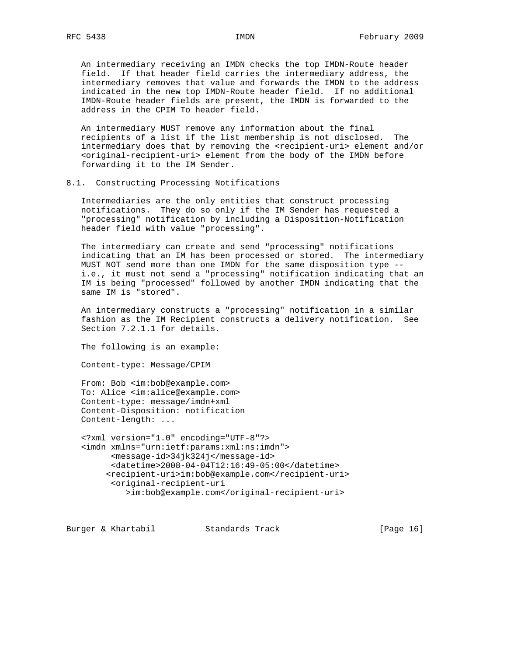An intermediary receiving an IMDN checks the top IMDN-Route header field. If that header field carries the intermediary address, the intermediary removes that value and forwards the IMDN to the address indicated in the new top IMDN-Route header field. If no additional IMDN-Route header fields are present, the IMDN is forwarded to the address in the CPIM To header field.

 An intermediary MUST remove any information about the final recipients of a list if the list membership is not disclosed. The intermediary does that by removing the <recipient-uri> element and/or <original-recipient-uri> element from the body of the IMDN before forwarding it to the IM Sender.

#### 8.1. Constructing Processing Notifications

 Intermediaries are the only entities that construct processing notifications. They do so only if the IM Sender has requested a "processing" notification by including a Disposition-Notification header field with value "processing".

 The intermediary can create and send "processing" notifications indicating that an IM has been processed or stored. The intermediary MUST NOT send more than one IMDN for the same disposition type - i.e., it must not send a "processing" notification indicating that an IM is being "processed" followed by another IMDN indicating that the same IM is "stored".

 An intermediary constructs a "processing" notification in a similar fashion as the IM Recipient constructs a delivery notification. See Section 7.2.1.1 for details.

The following is an example:

Content-type: Message/CPIM

 From: Bob <im:bob@example.com> To: Alice <im:alice@example.com> Content-type: message/imdn+xml Content-Disposition: notification Content-length: ...

 <?xml version="1.0" encoding="UTF-8"?> <imdn xmlns="urn:ietf:params:xml:ns:imdn"> <message-id>34jk324j</message-id> <datetime>2008-04-04T12:16:49-05:00</datetime> <recipient-uri>im:bob@example.com</recipient-uri> <original-recipient-uri >im:bob@example.com</original-recipient-uri>

Burger & Khartabil Standards Track [Page 16]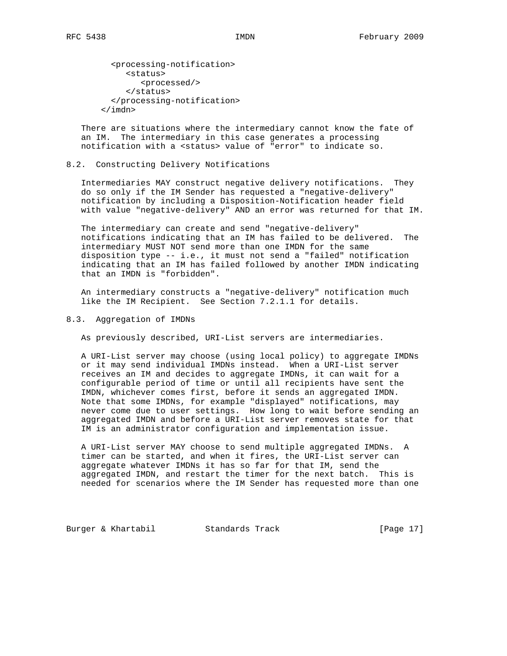<processing-notification> <status> <processed/> </status> </processing-notification> </imdn>

 There are situations where the intermediary cannot know the fate of an IM. The intermediary in this case generates a processing notification with a <status> value of "error" to indicate so.

#### 8.2. Constructing Delivery Notifications

 Intermediaries MAY construct negative delivery notifications. They do so only if the IM Sender has requested a "negative-delivery" notification by including a Disposition-Notification header field with value "negative-delivery" AND an error was returned for that IM.

 The intermediary can create and send "negative-delivery" notifications indicating that an IM has failed to be delivered. The intermediary MUST NOT send more than one IMDN for the same disposition type -- i.e., it must not send a "failed" notification indicating that an IM has failed followed by another IMDN indicating that an IMDN is "forbidden".

 An intermediary constructs a "negative-delivery" notification much like the IM Recipient. See Section 7.2.1.1 for details.

## 8.3. Aggregation of IMDNs

As previously described, URI-List servers are intermediaries.

 A URI-List server may choose (using local policy) to aggregate IMDNs or it may send individual IMDNs instead. When a URI-List server receives an IM and decides to aggregate IMDNs, it can wait for a configurable period of time or until all recipients have sent the IMDN, whichever comes first, before it sends an aggregated IMDN. Note that some IMDNs, for example "displayed" notifications, may never come due to user settings. How long to wait before sending an aggregated IMDN and before a URI-List server removes state for that IM is an administrator configuration and implementation issue.

 A URI-List server MAY choose to send multiple aggregated IMDNs. A timer can be started, and when it fires, the URI-List server can aggregate whatever IMDNs it has so far for that IM, send the aggregated IMDN, and restart the timer for the next batch. This is needed for scenarios where the IM Sender has requested more than one

Burger & Khartabil Standards Track [Page 17]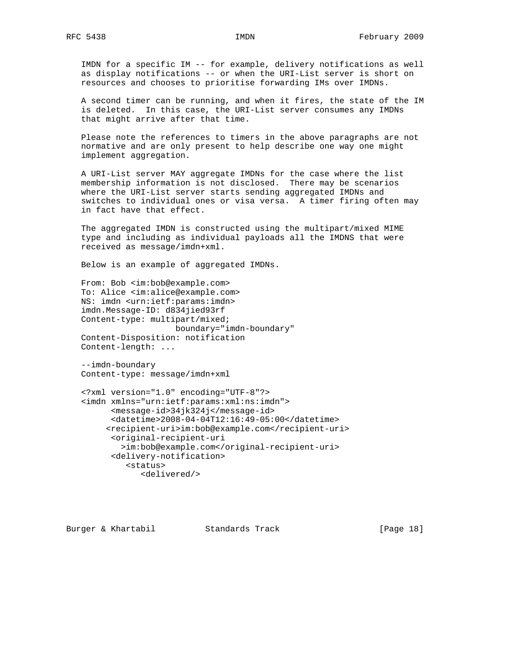IMDN for a specific IM -- for example, delivery notifications as well as display notifications -- or when the URI-List server is short on resources and chooses to prioritise forwarding IMs over IMDNs.

 A second timer can be running, and when it fires, the state of the IM is deleted. In this case, the URI-List server consumes any IMDNs that might arrive after that time.

 Please note the references to timers in the above paragraphs are not normative and are only present to help describe one way one might implement aggregation.

 A URI-List server MAY aggregate IMDNs for the case where the list membership information is not disclosed. There may be scenarios where the URI-List server starts sending aggregated IMDNs and switches to individual ones or visa versa. A timer firing often may in fact have that effect.

 The aggregated IMDN is constructed using the multipart/mixed MIME type and including as individual payloads all the IMDNS that were received as message/imdn+xml.

Below is an example of aggregated IMDNs.

 From: Bob <im:bob@example.com> To: Alice <im:alice@example.com> NS: imdn <urn:ietf:params:imdn> imdn.Message-ID: d834jied93rf Content-type: multipart/mixed; boundary="imdn-boundary" Content-Disposition: notification Content-length: ...

 --imdn-boundary Content-type: message/imdn+xml

```
 <?xml version="1.0" encoding="UTF-8"?>
<imdn xmlns="urn:ietf:params:xml:ns:imdn">
      <message-id>34jk324j</message-id>
      <datetime>2008-04-04T12:16:49-05:00</datetime>
     <recipient-uri>im:bob@example.com</recipient-uri>
      <original-recipient-uri
        >im:bob@example.com</original-recipient-uri>
      <delivery-notification>
         <status>
            <delivered/>
```
Burger & Khartabil Standards Track [Page 18]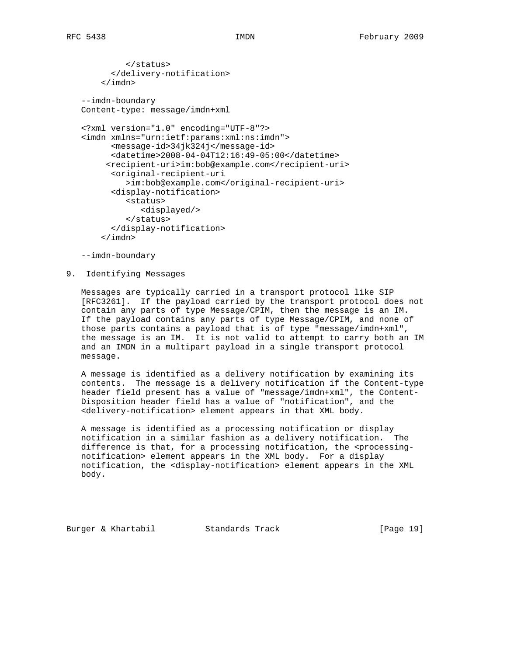```
 </status>
      </delivery-notification>
    </imdn>
--imdn-boundary
Content-type: message/imdn+xml
<?xml version="1.0" encoding="UTF-8"?>
<imdn xmlns="urn:ietf:params:xml:ns:imdn">
      <message-id>34jk324j</message-id>
      <datetime>2008-04-04T12:16:49-05:00</datetime>
     <recipient-uri>im:bob@example.com</recipient-uri>
      <original-recipient-uri
         >im:bob@example.com</original-recipient-uri>
      <display-notification>
         <status>
            <displayed/>
         </status>
      </display-notification>
    </imdn>
```
--imdn-boundary

9. Identifying Messages

 Messages are typically carried in a transport protocol like SIP [RFC3261]. If the payload carried by the transport protocol does not contain any parts of type Message/CPIM, then the message is an IM. If the payload contains any parts of type Message/CPIM, and none of those parts contains a payload that is of type "message/imdn+xml", the message is an IM. It is not valid to attempt to carry both an IM and an IMDN in a multipart payload in a single transport protocol message.

 A message is identified as a delivery notification by examining its contents. The message is a delivery notification if the Content-type header field present has a value of "message/imdn+xml", the Content- Disposition header field has a value of "notification", and the <delivery-notification> element appears in that XML body.

 A message is identified as a processing notification or display notification in a similar fashion as a delivery notification. The difference is that, for a processing notification, the <processing notification> element appears in the XML body. For a display notification, the <display-notification> element appears in the XML body.

Burger & Khartabil Standards Track [Page 19]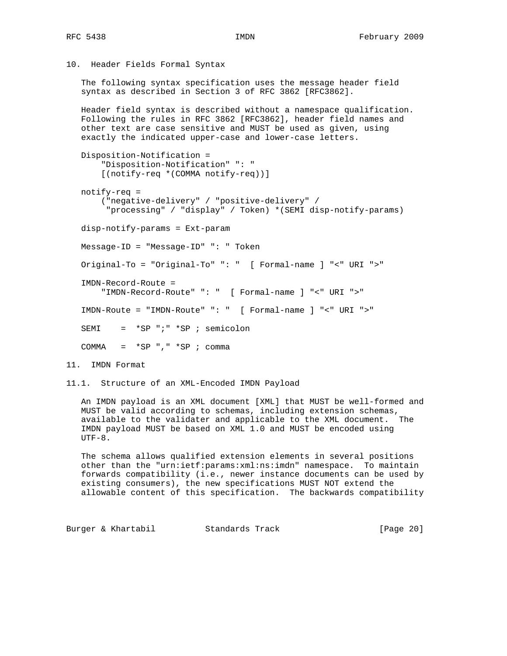10. Header Fields Formal Syntax

 The following syntax specification uses the message header field syntax as described in Section 3 of RFC 3862 [RFC3862].

 Header field syntax is described without a namespace qualification. Following the rules in RFC 3862 [RFC3862], header field names and other text are case sensitive and MUST be used as given, using exactly the indicated upper-case and lower-case letters.

 Disposition-Notification = "Disposition-Notification" ": " [(notify-req \*(COMMA notify-req))]

 notify-req = ("negative-delivery" / "positive-delivery" / "processing" / "display" / Token) \*(SEMI disp-notify-params) disp-notify-params = Ext-param Message-ID = "Message-ID" ": " Token Original-To = "Original-To" ": " [ Formal-name ] "<" URI ">" IMDN-Record-Route = "IMDN-Record-Route" ": " [ Formal-name ] "<" URI ">" IMDN-Route = "IMDN-Route" ": " [ Formal-name ] "<" URI ">" SEMI = \*SP ";" \*SP ; semicolon COMMA =  $*SP$  ", " $*SP$  ; comma

11. IMDN Format

11.1. Structure of an XML-Encoded IMDN Payload

 An IMDN payload is an XML document [XML] that MUST be well-formed and MUST be valid according to schemas, including extension schemas, available to the validater and applicable to the XML document. The IMDN payload MUST be based on XML 1.0 and MUST be encoded using  $UTF-8.$ 

 The schema allows qualified extension elements in several positions other than the "urn:ietf:params:xml:ns:imdn" namespace. To maintain forwards compatibility (i.e., newer instance documents can be used by existing consumers), the new specifications MUST NOT extend the allowable content of this specification. The backwards compatibility

Burger & Khartabil Standards Track [Page 20]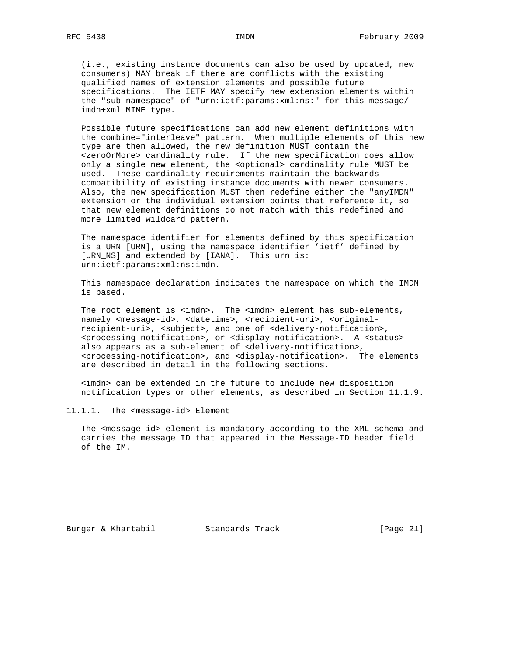(i.e., existing instance documents can also be used by updated, new consumers) MAY break if there are conflicts with the existing qualified names of extension elements and possible future specifications. The IETF MAY specify new extension elements within the "sub-namespace" of "urn:ietf:params:xml:ns:" for this message/ imdn+xml MIME type.

 Possible future specifications can add new element definitions with the combine="interleave" pattern. When multiple elements of this new type are then allowed, the new definition MUST contain the <zeroOrMore> cardinality rule. If the new specification does allow only a single new element, the <optional> cardinality rule MUST be used. These cardinality requirements maintain the backwards compatibility of existing instance documents with newer consumers. Also, the new specification MUST then redefine either the "anyIMDN" extension or the individual extension points that reference it, so that new element definitions do not match with this redefined and more limited wildcard pattern.

 The namespace identifier for elements defined by this specification is a URN [URN], using the namespace identifier 'ietf' defined by [URN\_NS] and extended by [IANA]. This urn is: urn:ietf:params:xml:ns:imdn.

 This namespace declaration indicates the namespace on which the IMDN is based.

The root element is <imdn>. The <imdn> element has sub-elements, namely <message-id>, <datetime>, <recipient-uri>, <original recipient-uri>, <subject>, and one of <delivery-notification>, <processing-notification>, or <display-notification>. A <status> also appears as a sub-element of <delivery-notification>, <processing-notification>, and <display-notification>. The elements are described in detail in the following sections.

 <imdn> can be extended in the future to include new disposition notification types or other elements, as described in Section 11.1.9.

11.1.1. The <message-id> Element

 The <message-id> element is mandatory according to the XML schema and carries the message ID that appeared in the Message-ID header field of the IM.

Burger & Khartabil Standards Track [Page 21]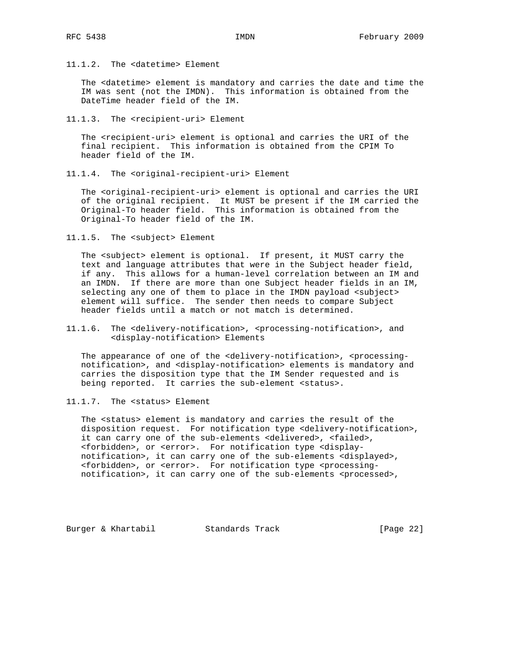11.1.2. The <datetime> Element

 The <datetime> element is mandatory and carries the date and time the IM was sent (not the IMDN). This information is obtained from the DateTime header field of the IM.

11.1.3. The <recipient-uri> Element

 The <recipient-uri> element is optional and carries the URI of the final recipient. This information is obtained from the CPIM To header field of the IM.

11.1.4. The <original-recipient-uri> Element

 The <original-recipient-uri> element is optional and carries the URI of the original recipient. It MUST be present if the IM carried the Original-To header field. This information is obtained from the Original-To header field of the IM.

11.1.5. The <subject> Element

 The <subject> element is optional. If present, it MUST carry the text and language attributes that were in the Subject header field, if any. This allows for a human-level correlation between an IM and an IMDN. If there are more than one Subject header fields in an IM, selecting any one of them to place in the IMDN payload <subject> element will suffice. The sender then needs to compare Subject header fields until a match or not match is determined.

11.1.6. The <delivery-notification>, <processing-notification>, and <display-notification> Elements

The appearance of one of the <delivery-notification>, <processing notification>, and <display-notification> elements is mandatory and carries the disposition type that the IM Sender requested and is being reported. It carries the sub-element <status>.

11.1.7. The <status> Element

 The <status> element is mandatory and carries the result of the disposition request. For notification type <delivery-notification>, it can carry one of the sub-elements <delivered>, <failed>, <forbidden>, or <error>. For notification type <display notification>, it can carry one of the sub-elements <displayed>, <forbidden>, or <error>. For notification type <processing notification>, it can carry one of the sub-elements <processed>,

Burger & Khartabil Standards Track [Page 22]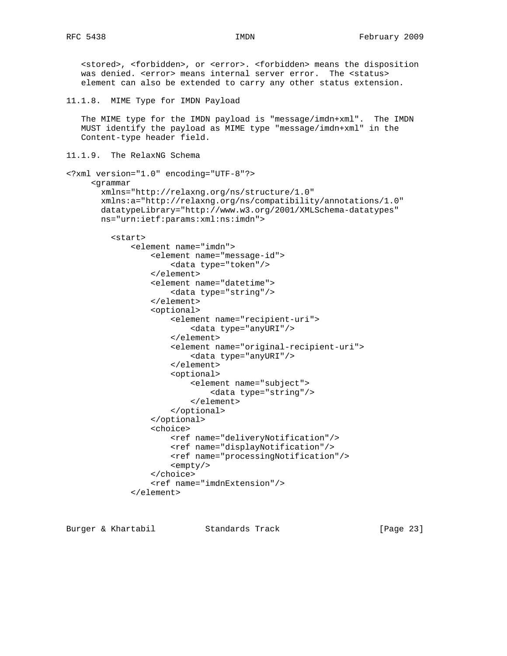<stored>, <forbidden>, or <error>. <forbidden> means the disposition was denied. <error> means internal server error. The <status> element can also be extended to carry any other status extension. 11.1.8. MIME Type for IMDN Payload The MIME type for the IMDN payload is "message/imdn+xml". The IMDN MUST identify the payload as MIME type "message/imdn+xml" in the Content-type header field. 11.1.9. The RelaxNG Schema <?xml version="1.0" encoding="UTF-8"?> <grammar xmlns="http://relaxng.org/ns/structure/1.0" xmlns:a="http://relaxng.org/ns/compatibility/annotations/1.0" datatypeLibrary="http://www.w3.org/2001/XMLSchema-datatypes" ns="urn:ietf:params:xml:ns:imdn"> <start> <element name="imdn"> <element name="message-id"> <data type="token"/> </element> <element name="datetime"> <data type="string"/> </element> <optional> <element name="recipient-uri"> <data type="anyURI"/> </element> <element name="original-recipient-uri"> <data type="anyURI"/> </element> <optional> <element name="subject"> <data type="string"/> </element> </optional> </optional> <choice> <ref name="deliveryNotification"/> <ref name="displayNotification"/> <ref name="processingNotification"/> <empty/> </choice> <ref name="imdnExtension"/>

```
 </element>
```
Burger & Khartabil Standards Track [Page 23]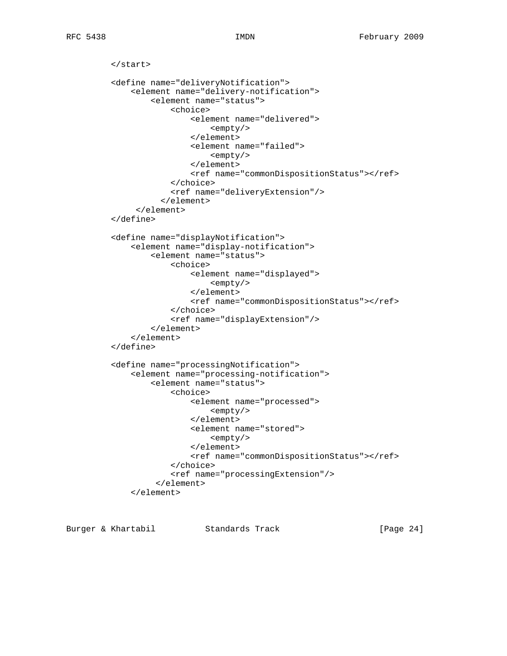```
 </start>
<define name="deliveryNotification">
    <element name="delivery-notification">
        <element name="status">
             <choice>
                 <element name="delivered">
                     <empty/>
                 </element>
                 <element name="failed">
                     <empty/>
                 </element>
                 <ref name="commonDispositionStatus"></ref>
             </choice>
             <ref name="deliveryExtension"/>
          </element>
     </element>
</define>
<define name="displayNotification">
    <element name="display-notification">
        <element name="status">
             <choice>
                 <element name="displayed">
                     <empty/>
                 </element>
                 <ref name="commonDispositionStatus"></ref>
             </choice>
             <ref name="displayExtension"/>
        </element>
    </element>
</define>
<define name="processingNotification">
    <element name="processing-notification">
        <element name="status">
             <choice>
                 <element name="processed">
                     <empty/>
                 </element>
                 <element name="stored">
                     <empty/>
                 </element>
                 <ref name="commonDispositionStatus"></ref>
             </choice>
             <ref name="processingExtension"/>
         </element>
    </element>
```
Burger & Khartabil Standards Track [Page 24]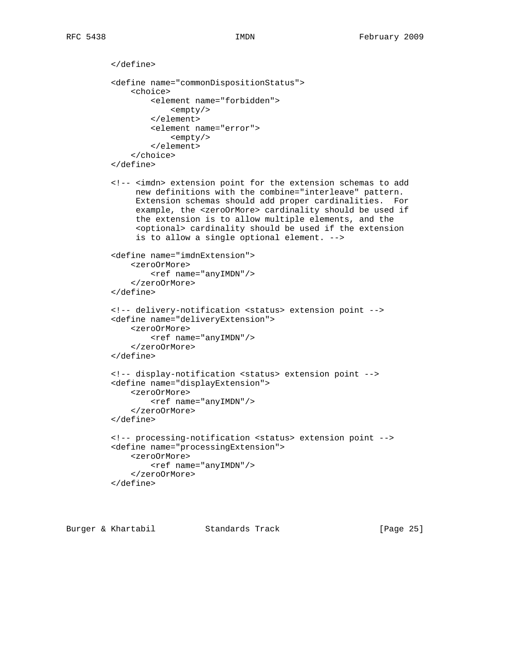```
 </define>
<define name="commonDispositionStatus">
    <choice>
        <element name="forbidden">
            <empty/>
        </element>
        <element name="error">
            <empty/>
        </element>
    </choice>
</define>
<!-- <imdn> extension point for the extension schemas to add
     new definitions with the combine="interleave" pattern.
     Extension schemas should add proper cardinalities. For
     example, the <zeroOrMore> cardinality should be used if
     the extension is to allow multiple elements, and the
     <optional> cardinality should be used if the extension
     is to allow a single optional element. -->
<define name="imdnExtension">
    <zeroOrMore>
        <ref name="anyIMDN"/>
    </zeroOrMore>
</define>
<!-- delivery-notification <status> extension point -->
<define name="deliveryExtension">
    <zeroOrMore>
        <ref name="anyIMDN"/>
    </zeroOrMore>
</define>
<!-- display-notification <status> extension point -->
<define name="displayExtension">
    <zeroOrMore>
        <ref name="anyIMDN"/>
    </zeroOrMore>
</define>
<!-- processing-notification <status> extension point -->
<define name="processingExtension">
    <zeroOrMore>
        <ref name="anyIMDN"/>
    </zeroOrMore>
</define>
```
Burger & Khartabil Standards Track [Page 25]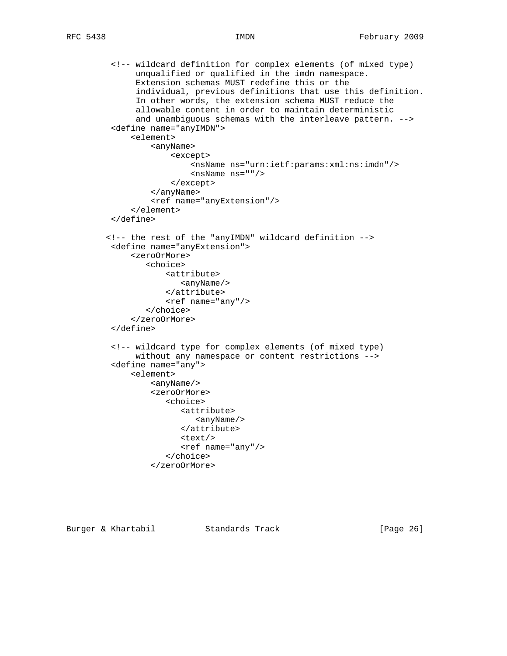<!-- wildcard definition for complex elements (of mixed type) unqualified or qualified in the imdn namespace. Extension schemas MUST redefine this or the individual, previous definitions that use this definition. In other words, the extension schema MUST reduce the allowable content in order to maintain deterministic and unambiguous schemas with the interleave pattern. --> <define name="anyIMDN"> <element> <anyName> <except> <nsName ns="urn:ietf:params:xml:ns:imdn"/> <nsName ns=""/> </except> </anyName> <ref name="anyExtension"/> </element> </define> <!-- the rest of the "anyIMDN" wildcard definition --> <define name="anyExtension"> <zeroOrMore> <choice> <attribute> <anyName/> </attribute> <ref name="any"/> </choice> </zeroOrMore> </define> <!-- wildcard type for complex elements (of mixed type) without any namespace or content restrictions --> <define name="any"> <element> <anyName/> <zeroOrMore> <choice> <attribute> <anyName/> </attribute>  $<$ text/> <ref name="any"/> </choice> </zeroOrMore>

Burger & Khartabil Standards Track [Page 26]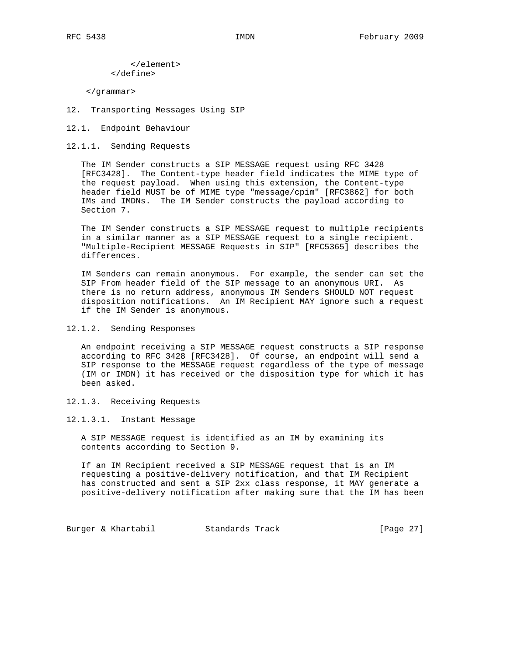</element> </define>

</grammar>

- 12. Transporting Messages Using SIP
- 12.1. Endpoint Behaviour
- 12.1.1. Sending Requests

 The IM Sender constructs a SIP MESSAGE request using RFC 3428 [RFC3428]. The Content-type header field indicates the MIME type of the request payload. When using this extension, the Content-type header field MUST be of MIME type "message/cpim" [RFC3862] for both IMs and IMDNs. The IM Sender constructs the payload according to Section 7.

 The IM Sender constructs a SIP MESSAGE request to multiple recipients in a similar manner as a SIP MESSAGE request to a single recipient. "Multiple-Recipient MESSAGE Requests in SIP" [RFC5365] describes the differences.

 IM Senders can remain anonymous. For example, the sender can set the SIP From header field of the SIP message to an anonymous URI. As there is no return address, anonymous IM Senders SHOULD NOT request disposition notifications. An IM Recipient MAY ignore such a request if the IM Sender is anonymous.

12.1.2. Sending Responses

 An endpoint receiving a SIP MESSAGE request constructs a SIP response according to RFC 3428 [RFC3428]. Of course, an endpoint will send a SIP response to the MESSAGE request regardless of the type of message (IM or IMDN) it has received or the disposition type for which it has been asked.

12.1.3. Receiving Requests

12.1.3.1. Instant Message

 A SIP MESSAGE request is identified as an IM by examining its contents according to Section 9.

 If an IM Recipient received a SIP MESSAGE request that is an IM requesting a positive-delivery notification, and that IM Recipient has constructed and sent a SIP 2xx class response, it MAY generate a positive-delivery notification after making sure that the IM has been

Burger & Khartabil **Standards Track** [Page 27]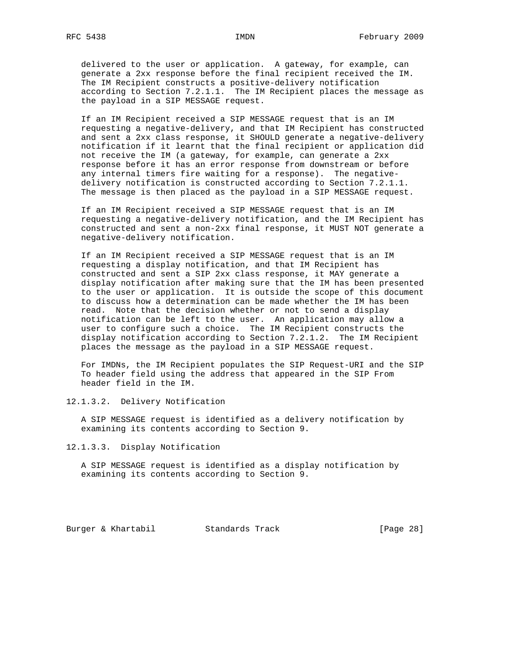delivered to the user or application. A gateway, for example, can generate a 2xx response before the final recipient received the IM. The IM Recipient constructs a positive-delivery notification according to Section 7.2.1.1. The IM Recipient places the message as the payload in a SIP MESSAGE request.

 If an IM Recipient received a SIP MESSAGE request that is an IM requesting a negative-delivery, and that IM Recipient has constructed and sent a 2xx class response, it SHOULD generate a negative-delivery notification if it learnt that the final recipient or application did not receive the IM (a gateway, for example, can generate a 2xx response before it has an error response from downstream or before any internal timers fire waiting for a response). The negative delivery notification is constructed according to Section 7.2.1.1. The message is then placed as the payload in a SIP MESSAGE request.

 If an IM Recipient received a SIP MESSAGE request that is an IM requesting a negative-delivery notification, and the IM Recipient has constructed and sent a non-2xx final response, it MUST NOT generate a negative-delivery notification.

 If an IM Recipient received a SIP MESSAGE request that is an IM requesting a display notification, and that IM Recipient has constructed and sent a SIP 2xx class response, it MAY generate a display notification after making sure that the IM has been presented to the user or application. It is outside the scope of this document to discuss how a determination can be made whether the IM has been read. Note that the decision whether or not to send a display notification can be left to the user. An application may allow a user to configure such a choice. The IM Recipient constructs the display notification according to Section 7.2.1.2. The IM Recipient places the message as the payload in a SIP MESSAGE request.

 For IMDNs, the IM Recipient populates the SIP Request-URI and the SIP To header field using the address that appeared in the SIP From header field in the IM.

12.1.3.2. Delivery Notification

 A SIP MESSAGE request is identified as a delivery notification by examining its contents according to Section 9.

12.1.3.3. Display Notification

 A SIP MESSAGE request is identified as a display notification by examining its contents according to Section 9.

Burger & Khartabil Standards Track [Page 28]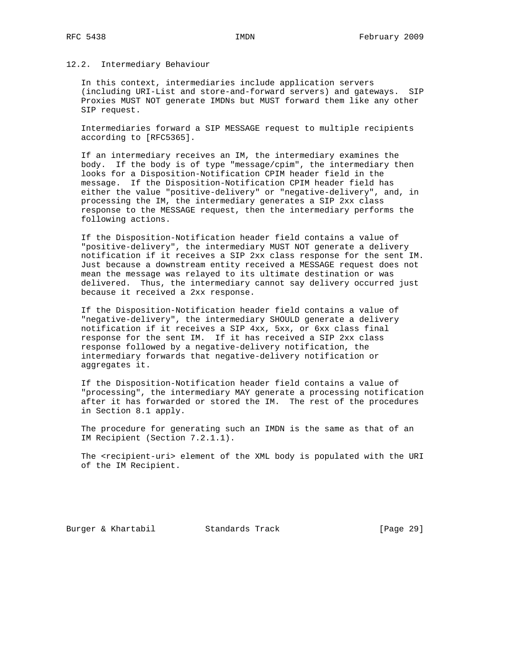#### 12.2. Intermediary Behaviour

 In this context, intermediaries include application servers (including URI-List and store-and-forward servers) and gateways. SIP Proxies MUST NOT generate IMDNs but MUST forward them like any other SIP request.

 Intermediaries forward a SIP MESSAGE request to multiple recipients according to [RFC5365].

 If an intermediary receives an IM, the intermediary examines the body. If the body is of type "message/cpim", the intermediary then looks for a Disposition-Notification CPIM header field in the message. If the Disposition-Notification CPIM header field has either the value "positive-delivery" or "negative-delivery", and, in processing the IM, the intermediary generates a SIP 2xx class response to the MESSAGE request, then the intermediary performs the following actions.

 If the Disposition-Notification header field contains a value of "positive-delivery", the intermediary MUST NOT generate a delivery notification if it receives a SIP 2xx class response for the sent IM. Just because a downstream entity received a MESSAGE request does not mean the message was relayed to its ultimate destination or was delivered. Thus, the intermediary cannot say delivery occurred just because it received a 2xx response.

 If the Disposition-Notification header field contains a value of "negative-delivery", the intermediary SHOULD generate a delivery notification if it receives a SIP 4xx, 5xx, or 6xx class final response for the sent IM. If it has received a SIP 2xx class response followed by a negative-delivery notification, the intermediary forwards that negative-delivery notification or aggregates it.

 If the Disposition-Notification header field contains a value of "processing", the intermediary MAY generate a processing notification after it has forwarded or stored the IM. The rest of the procedures in Section 8.1 apply.

 The procedure for generating such an IMDN is the same as that of an IM Recipient (Section 7.2.1.1).

 The <recipient-uri> element of the XML body is populated with the URI of the IM Recipient.

Burger & Khartabil Standards Track [Page 29]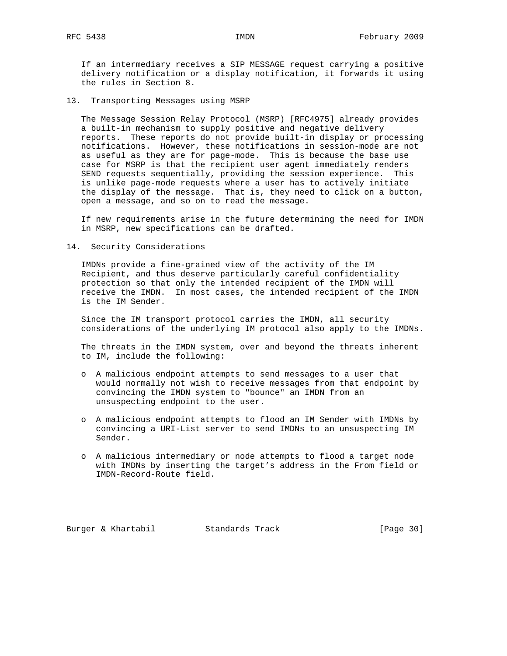If an intermediary receives a SIP MESSAGE request carrying a positive delivery notification or a display notification, it forwards it using the rules in Section 8.

13. Transporting Messages using MSRP

 The Message Session Relay Protocol (MSRP) [RFC4975] already provides a built-in mechanism to supply positive and negative delivery reports. These reports do not provide built-in display or processing notifications. However, these notifications in session-mode are not as useful as they are for page-mode. This is because the base use case for MSRP is that the recipient user agent immediately renders SEND requests sequentially, providing the session experience. This is unlike page-mode requests where a user has to actively initiate the display of the message. That is, they need to click on a button, open a message, and so on to read the message.

 If new requirements arise in the future determining the need for IMDN in MSRP, new specifications can be drafted.

14. Security Considerations

 IMDNs provide a fine-grained view of the activity of the IM Recipient, and thus deserve particularly careful confidentiality protection so that only the intended recipient of the IMDN will receive the IMDN. In most cases, the intended recipient of the IMDN is the IM Sender.

 Since the IM transport protocol carries the IMDN, all security considerations of the underlying IM protocol also apply to the IMDNs.

 The threats in the IMDN system, over and beyond the threats inherent to IM, include the following:

- o A malicious endpoint attempts to send messages to a user that would normally not wish to receive messages from that endpoint by convincing the IMDN system to "bounce" an IMDN from an unsuspecting endpoint to the user.
- o A malicious endpoint attempts to flood an IM Sender with IMDNs by convincing a URI-List server to send IMDNs to an unsuspecting IM Sender.
- o A malicious intermediary or node attempts to flood a target node with IMDNs by inserting the target's address in the From field or IMDN-Record-Route field.

Burger & Khartabil Standards Track [Page 30]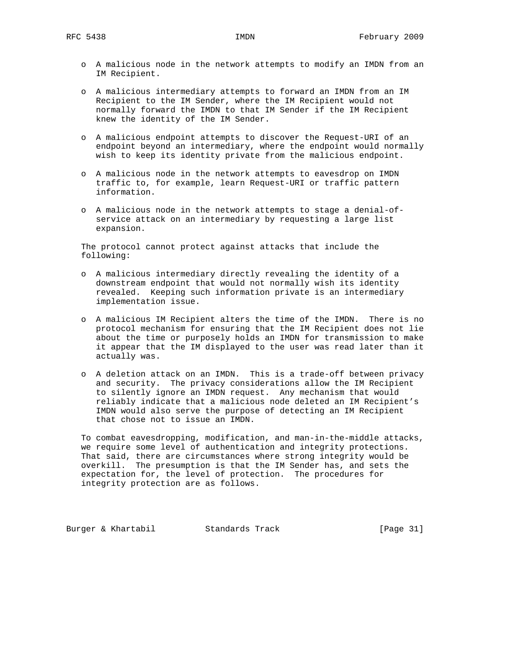- o A malicious node in the network attempts to modify an IMDN from an IM Recipient.
- o A malicious intermediary attempts to forward an IMDN from an IM Recipient to the IM Sender, where the IM Recipient would not normally forward the IMDN to that IM Sender if the IM Recipient knew the identity of the IM Sender.
- o A malicious endpoint attempts to discover the Request-URI of an endpoint beyond an intermediary, where the endpoint would normally wish to keep its identity private from the malicious endpoint.
- o A malicious node in the network attempts to eavesdrop on IMDN traffic to, for example, learn Request-URI or traffic pattern information.
- o A malicious node in the network attempts to stage a denial-of service attack on an intermediary by requesting a large list expansion.

 The protocol cannot protect against attacks that include the following:

- o A malicious intermediary directly revealing the identity of a downstream endpoint that would not normally wish its identity revealed. Keeping such information private is an intermediary implementation issue.
- o A malicious IM Recipient alters the time of the IMDN. There is no protocol mechanism for ensuring that the IM Recipient does not lie about the time or purposely holds an IMDN for transmission to make it appear that the IM displayed to the user was read later than it actually was.
- o A deletion attack on an IMDN. This is a trade-off between privacy and security. The privacy considerations allow the IM Recipient to silently ignore an IMDN request. Any mechanism that would reliably indicate that a malicious node deleted an IM Recipient's IMDN would also serve the purpose of detecting an IM Recipient that chose not to issue an IMDN.

 To combat eavesdropping, modification, and man-in-the-middle attacks, we require some level of authentication and integrity protections. That said, there are circumstances where strong integrity would be overkill. The presumption is that the IM Sender has, and sets the expectation for, the level of protection. The procedures for integrity protection are as follows.

Burger & Khartabil Standards Track [Page 31]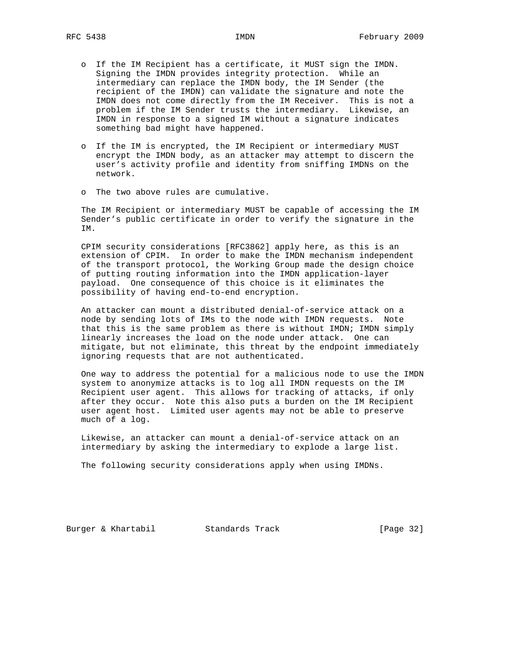- o If the IM Recipient has a certificate, it MUST sign the IMDN. Signing the IMDN provides integrity protection. While an intermediary can replace the IMDN body, the IM Sender (the recipient of the IMDN) can validate the signature and note the IMDN does not come directly from the IM Receiver. This is not a problem if the IM Sender trusts the intermediary. Likewise, an IMDN in response to a signed IM without a signature indicates something bad might have happened.
	- o If the IM is encrypted, the IM Recipient or intermediary MUST encrypt the IMDN body, as an attacker may attempt to discern the user's activity profile and identity from sniffing IMDNs on the network.
	- o The two above rules are cumulative.

 The IM Recipient or intermediary MUST be capable of accessing the IM Sender's public certificate in order to verify the signature in the IM.

 CPIM security considerations [RFC3862] apply here, as this is an extension of CPIM. In order to make the IMDN mechanism independent of the transport protocol, the Working Group made the design choice of putting routing information into the IMDN application-layer payload. One consequence of this choice is it eliminates the possibility of having end-to-end encryption.

 An attacker can mount a distributed denial-of-service attack on a node by sending lots of IMs to the node with IMDN requests. Note that this is the same problem as there is without IMDN; IMDN simply linearly increases the load on the node under attack. One can mitigate, but not eliminate, this threat by the endpoint immediately ignoring requests that are not authenticated.

 One way to address the potential for a malicious node to use the IMDN system to anonymize attacks is to log all IMDN requests on the IM Recipient user agent. This allows for tracking of attacks, if only after they occur. Note this also puts a burden on the IM Recipient user agent host. Limited user agents may not be able to preserve much of a log.

 Likewise, an attacker can mount a denial-of-service attack on an intermediary by asking the intermediary to explode a large list.

The following security considerations apply when using IMDNs.

Burger & Khartabil Standards Track [Page 32]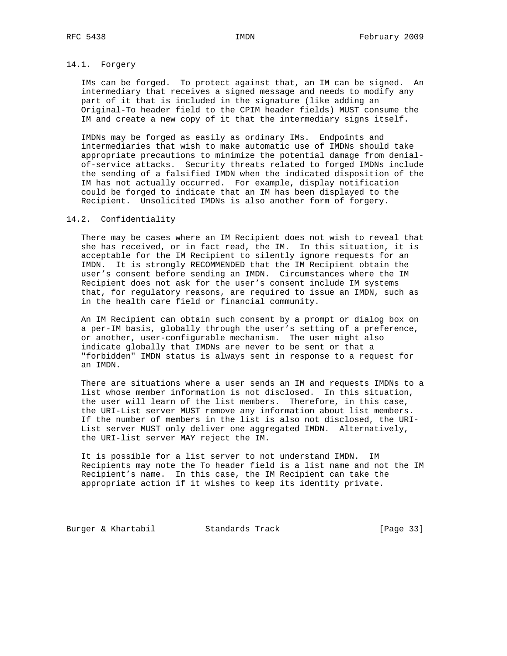## 14.1. Forgery

 IMs can be forged. To protect against that, an IM can be signed. An intermediary that receives a signed message and needs to modify any part of it that is included in the signature (like adding an Original-To header field to the CPIM header fields) MUST consume the IM and create a new copy of it that the intermediary signs itself.

 IMDNs may be forged as easily as ordinary IMs. Endpoints and intermediaries that wish to make automatic use of IMDNs should take appropriate precautions to minimize the potential damage from denial of-service attacks. Security threats related to forged IMDNs include the sending of a falsified IMDN when the indicated disposition of the IM has not actually occurred. For example, display notification could be forged to indicate that an IM has been displayed to the Recipient. Unsolicited IMDNs is also another form of forgery.

## 14.2. Confidentiality

 There may be cases where an IM Recipient does not wish to reveal that she has received, or in fact read, the IM. In this situation, it is acceptable for the IM Recipient to silently ignore requests for an IMDN. It is strongly RECOMMENDED that the IM Recipient obtain the user's consent before sending an IMDN. Circumstances where the IM Recipient does not ask for the user's consent include IM systems that, for regulatory reasons, are required to issue an IMDN, such as in the health care field or financial community.

 An IM Recipient can obtain such consent by a prompt or dialog box on a per-IM basis, globally through the user's setting of a preference, or another, user-configurable mechanism. The user might also indicate globally that IMDNs are never to be sent or that a "forbidden" IMDN status is always sent in response to a request for an IMDN.

 There are situations where a user sends an IM and requests IMDNs to a list whose member information is not disclosed. In this situation, the user will learn of the list members. Therefore, in this case, the URI-List server MUST remove any information about list members. If the number of members in the list is also not disclosed, the URI- List server MUST only deliver one aggregated IMDN. Alternatively, the URI-list server MAY reject the IM.

 It is possible for a list server to not understand IMDN. IM Recipients may note the To header field is a list name and not the IM Recipient's name. In this case, the IM Recipient can take the appropriate action if it wishes to keep its identity private.

Burger & Khartabil **Standards Track** [Page 33]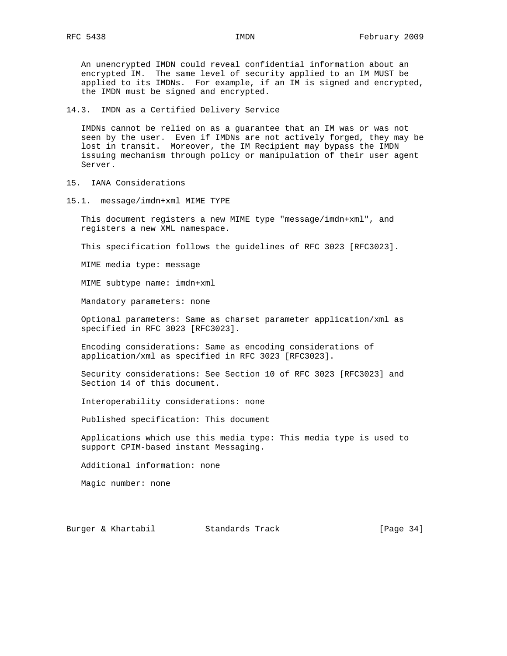An unencrypted IMDN could reveal confidential information about an encrypted IM. The same level of security applied to an IM MUST be applied to its IMDNs. For example, if an IM is signed and encrypted, the IMDN must be signed and encrypted.

14.3. IMDN as a Certified Delivery Service

 IMDNs cannot be relied on as a guarantee that an IM was or was not seen by the user. Even if IMDNs are not actively forged, they may be lost in transit. Moreover, the IM Recipient may bypass the IMDN issuing mechanism through policy or manipulation of their user agent Server.

- 15. IANA Considerations
- 15.1. message/imdn+xml MIME TYPE

 This document registers a new MIME type "message/imdn+xml", and registers a new XML namespace.

This specification follows the guidelines of RFC 3023 [RFC3023].

MIME media type: message

MIME subtype name: imdn+xml

Mandatory parameters: none

 Optional parameters: Same as charset parameter application/xml as specified in RFC 3023 [RFC3023].

 Encoding considerations: Same as encoding considerations of application/xml as specified in RFC 3023 [RFC3023].

 Security considerations: See Section 10 of RFC 3023 [RFC3023] and Section 14 of this document.

Interoperability considerations: none

Published specification: This document

 Applications which use this media type: This media type is used to support CPIM-based instant Messaging.

Additional information: none

Magic number: none

Burger & Khartabil Standards Track [Page 34]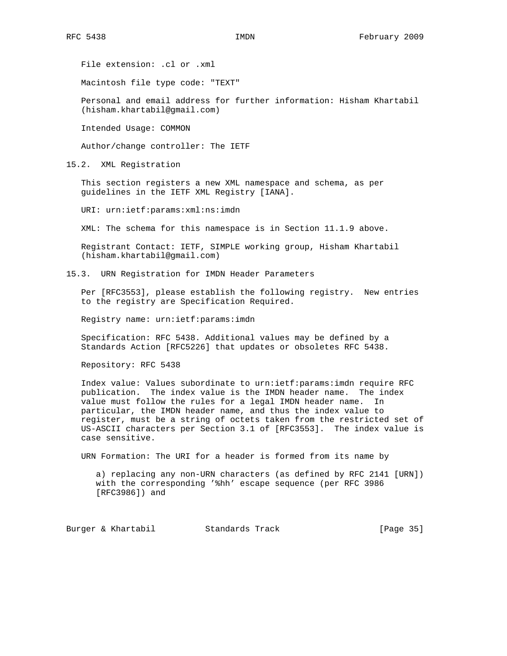File extension: .cl or .xml

Macintosh file type code: "TEXT"

 Personal and email address for further information: Hisham Khartabil (hisham.khartabil@gmail.com)

Intended Usage: COMMON

Author/change controller: The IETF

15.2. XML Registration

 This section registers a new XML namespace and schema, as per guidelines in the IETF XML Registry [IANA].

URI: urn:ietf:params:xml:ns:imdn

XML: The schema for this namespace is in Section 11.1.9 above.

 Registrant Contact: IETF, SIMPLE working group, Hisham Khartabil (hisham.khartabil@gmail.com)

15.3. URN Registration for IMDN Header Parameters

 Per [RFC3553], please establish the following registry. New entries to the registry are Specification Required.

Registry name: urn:ietf:params:imdn

 Specification: RFC 5438. Additional values may be defined by a Standards Action [RFC5226] that updates or obsoletes RFC 5438.

Repository: RFC 5438

 Index value: Values subordinate to urn:ietf:params:imdn require RFC publication. The index value is the IMDN header name. The index value must follow the rules for a legal IMDN header name. In particular, the IMDN header name, and thus the index value to register, must be a string of octets taken from the restricted set of US-ASCII characters per Section 3.1 of [RFC3553]. The index value is case sensitive.

URN Formation: The URI for a header is formed from its name by

 a) replacing any non-URN characters (as defined by RFC 2141 [URN]) with the corresponding '%hh' escape sequence (per RFC 3986 [RFC3986]) and

Burger & Khartabil Standards Track [Page 35]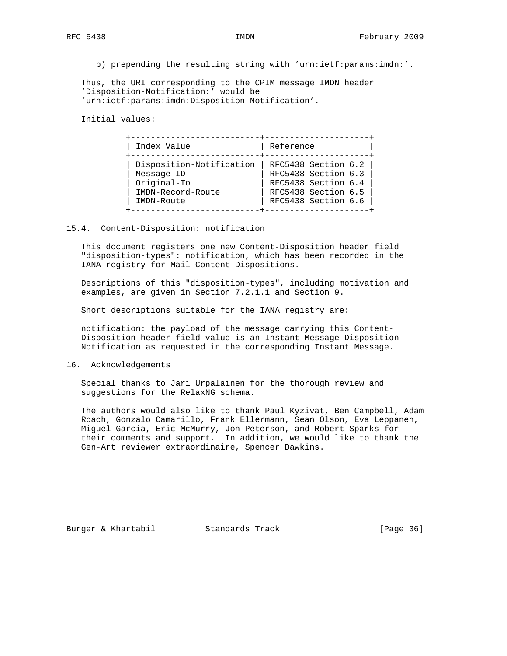b) prepending the resulting string with 'urn:ietf:params:imdn:'.

 Thus, the URI corresponding to the CPIM message IMDN header 'Disposition-Notification:' would be 'urn:ietf:params:imdn:Disposition-Notification'.

Initial values:

| Disposition-Notification<br>RFC5438 Section 6.3<br>Message-ID | Original-To<br>IMDN-Record-Route | Index Value | Reference           |
|---------------------------------------------------------------|----------------------------------|-------------|---------------------|
|                                                               | RFC5438 Section 6.4              |             | RFC5438 Section 6.2 |
|                                                               | RFC5438 Section 6.5              |             |                     |

#### 15.4. Content-Disposition: notification

 This document registers one new Content-Disposition header field "disposition-types": notification, which has been recorded in the IANA registry for Mail Content Dispositions.

 Descriptions of this "disposition-types", including motivation and examples, are given in Section 7.2.1.1 and Section 9.

Short descriptions suitable for the IANA registry are:

 notification: the payload of the message carrying this Content- Disposition header field value is an Instant Message Disposition Notification as requested in the corresponding Instant Message.

16. Acknowledgements

 Special thanks to Jari Urpalainen for the thorough review and suggestions for the RelaxNG schema.

 The authors would also like to thank Paul Kyzivat, Ben Campbell, Adam Roach, Gonzalo Camarillo, Frank Ellermann, Sean Olson, Eva Leppanen, Miguel Garcia, Eric McMurry, Jon Peterson, and Robert Sparks for their comments and support. In addition, we would like to thank the Gen-Art reviewer extraordinaire, Spencer Dawkins.

Burger & Khartabil Standards Track [Page 36]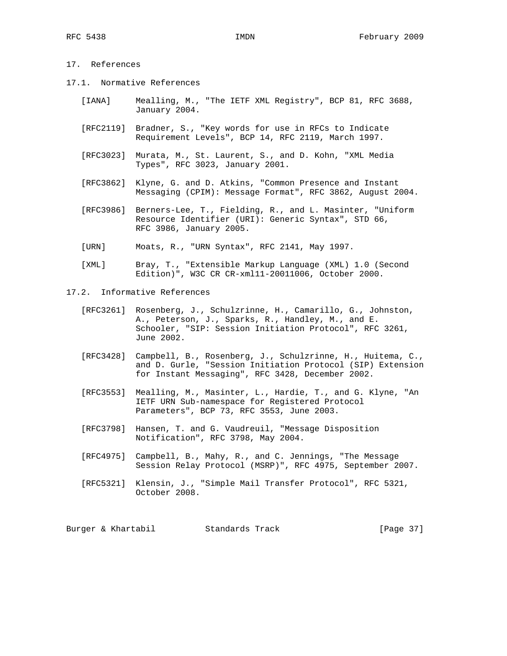# 17. References

- 17.1. Normative References
	- [IANA] Mealling, M., "The IETF XML Registry", BCP 81, RFC 3688, January 2004.
	- [RFC2119] Bradner, S., "Key words for use in RFCs to Indicate Requirement Levels", BCP 14, RFC 2119, March 1997.
	- [RFC3023] Murata, M., St. Laurent, S., and D. Kohn, "XML Media Types", RFC 3023, January 2001.
	- [RFC3862] Klyne, G. and D. Atkins, "Common Presence and Instant Messaging (CPIM): Message Format", RFC 3862, August 2004.
	- [RFC3986] Berners-Lee, T., Fielding, R., and L. Masinter, "Uniform Resource Identifier (URI): Generic Syntax", STD 66, RFC 3986, January 2005.
	- [URN] Moats, R., "URN Syntax", RFC 2141, May 1997.
	- [XML] Bray, T., "Extensible Markup Language (XML) 1.0 (Second Edition)", W3C CR CR-xml11-20011006, October 2000.
- 17.2. Informative References
	- [RFC3261] Rosenberg, J., Schulzrinne, H., Camarillo, G., Johnston, A., Peterson, J., Sparks, R., Handley, M., and E. Schooler, "SIP: Session Initiation Protocol", RFC 3261, June 2002.
	- [RFC3428] Campbell, B., Rosenberg, J., Schulzrinne, H., Huitema, C., and D. Gurle, "Session Initiation Protocol (SIP) Extension for Instant Messaging", RFC 3428, December 2002.
	- [RFC3553] Mealling, M., Masinter, L., Hardie, T., and G. Klyne, "An IETF URN Sub-namespace for Registered Protocol Parameters", BCP 73, RFC 3553, June 2003.
	- [RFC3798] Hansen, T. and G. Vaudreuil, "Message Disposition Notification", RFC 3798, May 2004.
	- [RFC4975] Campbell, B., Mahy, R., and C. Jennings, "The Message Session Relay Protocol (MSRP)", RFC 4975, September 2007.
	- [RFC5321] Klensin, J., "Simple Mail Transfer Protocol", RFC 5321, October 2008.

Burger & Khartabil Standards Track [Page 37]